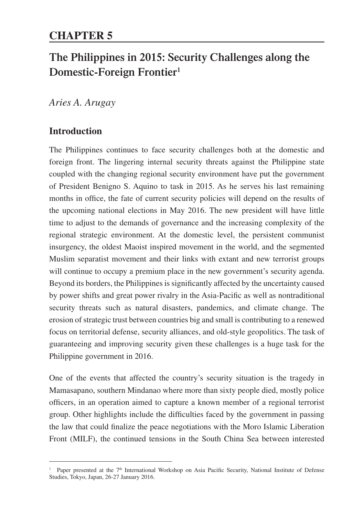# **The Philippines in 2015: Security Challenges along the Domestic-Foreign Frontier1**

*Aries A. Arugay*

## **Introduction**

The Philippines continues to face security challenges both at the domestic and foreign front. The lingering internal security threats against the Philippine state coupled with the changing regional security environment have put the government of President Benigno S. Aquino to task in 2015. As he serves his last remaining months in office, the fate of current security policies will depend on the results of the upcoming national elections in May 2016. The new president will have little time to adjust to the demands of governance and the increasing complexity of the regional strategic environment. At the domestic level, the persistent communist insurgency, the oldest Maoist inspired movement in the world, and the segmented Muslim separatist movement and their links with extant and new terrorist groups will continue to occupy a premium place in the new government's security agenda. Beyond its borders, the Philippines is significantly affected by the uncertainty caused by power shifts and great power rivalry in the Asia-Pacific as well as nontraditional security threats such as natural disasters, pandemics, and climate change. The erosion of strategic trust between countries big and small is contributing to a renewed focus on territorial defense, security alliances, and old-style geopolitics. The task of guaranteeing and improving security given these challenges is a huge task for the Philippine government in 2016.

One of the events that affected the country's security situation is the tragedy in Mamasapano, southern Mindanao where more than sixty people died, mostly police officers, in an operation aimed to capture a known member of a regional terrorist group. Other highlights include the difficulties faced by the government in passing the law that could finalize the peace negotiations with the Moro Islamic Liberation Front (MILF), the continued tensions in the South China Sea between interested

<sup>&</sup>lt;sup>1</sup> Paper presented at the 7<sup>th</sup> International Workshop on Asia Pacific Security, National Institute of Defense Studies, Tokyo, Japan, 26-27 January 2016.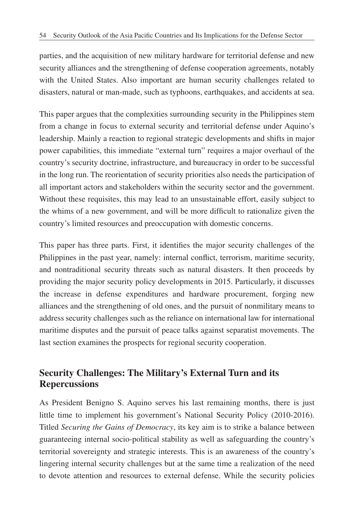parties, and the acquisition of new military hardware for territorial defense and new security alliances and the strengthening of defense cooperation agreements, notably with the United States. Also important are human security challenges related to disasters, natural or man-made, such as typhoons, earthquakes, and accidents at sea.

This paper argues that the complexities surrounding security in the Philippines stem from a change in focus to external security and territorial defense under Aquino's leadership. Mainly a reaction to regional strategic developments and shifts in major power capabilities, this immediate "external turn" requires a major overhaul of the country's security doctrine, infrastructure, and bureaucracy in order to be successful in the long run. The reorientation of security priorities also needs the participation of all important actors and stakeholders within the security sector and the government. Without these requisites, this may lead to an unsustainable effort, easily subject to the whims of a new government, and will be more difficult to rationalize given the country's limited resources and preoccupation with domestic concerns.

This paper has three parts. First, it identifies the major security challenges of the Philippines in the past year, namely: internal conflict, terrorism, maritime security, and nontraditional security threats such as natural disasters. It then proceeds by providing the major security policy developments in 2015. Particularly, it discusses the increase in defense expenditures and hardware procurement, forging new alliances and the strengthening of old ones, and the pursuit of nonmilitary means to address security challenges such as the reliance on international law for international maritime disputes and the pursuit of peace talks against separatist movements. The last section examines the prospects for regional security cooperation.

## **Security Challenges: The Military's External Turn and its Repercussions**

As President Benigno S. Aquino serves his last remaining months, there is just little time to implement his government's National Security Policy (2010-2016). Titled *Securing the Gains of Democracy*, its key aim is to strike a balance between guaranteeing internal socio-political stability as well as safeguarding the country's territorial sovereignty and strategic interests. This is an awareness of the country's lingering internal security challenges but at the same time a realization of the need to devote attention and resources to external defense. While the security policies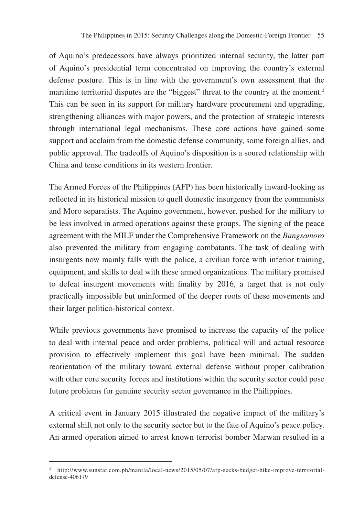of Aquino's predecessors have always prioritized internal security, the latter part of Aquino's presidential term concentrated on improving the country's external defense posture. This is in line with the government's own assessment that the maritime territorial disputes are the "biggest" threat to the country at the moment.<sup>2</sup> This can be seen in its support for military hardware procurement and upgrading, strengthening alliances with major powers, and the protection of strategic interests through international legal mechanisms. These core actions have gained some support and acclaim from the domestic defense community, some foreign allies, and public approval. The tradeoffs of Aquino's disposition is a soured relationship with China and tense conditions in its western frontier.

The Armed Forces of the Philippines (AFP) has been historically inward-looking as reflected in its historical mission to quell domestic insurgency from the communists and Moro separatists. The Aquino government, however, pushed for the military to be less involved in armed operations against these groups. The signing of the peace agreement with the MILF under the Comprehensive Framework on the *Bangsamoro* also prevented the military from engaging combatants. The task of dealing with insurgents now mainly falls with the police, a civilian force with inferior training, equipment, and skills to deal with these armed organizations. The military promised to defeat insurgent movements with finality by 2016, a target that is not only practically impossible but uninformed of the deeper roots of these movements and their larger politico-historical context.

While previous governments have promised to increase the capacity of the police to deal with internal peace and order problems, political will and actual resource provision to effectively implement this goal have been minimal. The sudden reorientation of the military toward external defense without proper calibration with other core security forces and institutions within the security sector could pose future problems for genuine security sector governance in the Philippines.

A critical event in January 2015 illustrated the negative impact of the military's external shift not only to the security sector but to the fate of Aquino's peace policy. An armed operation aimed to arrest known terrorist bomber Marwan resulted in a

<sup>2</sup> http://www.sunstar.com.ph/manila/local-news/2015/05/07/afp-seeks-budget-hike-improve-territorialdefense-406179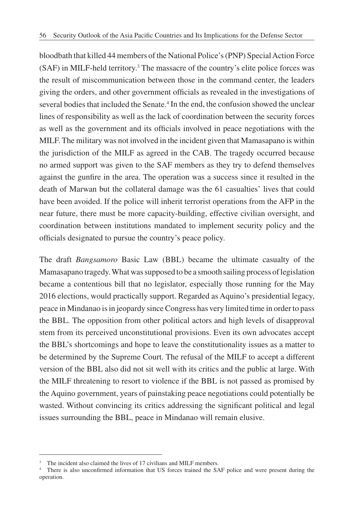bloodbath that killed 44 members of the National Police's (PNP) Special Action Force (SAF) in MILF-held territory.3 The massacre of the country's elite police forces was the result of miscommunication between those in the command center, the leaders giving the orders, and other government officials as revealed in the investigations of several bodies that included the Senate.<sup>4</sup> In the end, the confusion showed the unclear lines of responsibility as well as the lack of coordination between the security forces as well as the government and its officials involved in peace negotiations with the MILF. The military was not involved in the incident given that Mamasapano is within the jurisdiction of the MILF as agreed in the CAB. The tragedy occurred because no armed support was given to the SAF members as they try to defend themselves against the gunfire in the area. The operation was a success since it resulted in the death of Marwan but the collateral damage was the 61 casualties' lives that could have been avoided. If the police will inherit terrorist operations from the AFP in the near future, there must be more capacity-building, effective civilian oversight, and coordination between institutions mandated to implement security policy and the officials designated to pursue the country's peace policy.

The draft *Bangsamoro* Basic Law (BBL) became the ultimate casualty of the Mamasapano tragedy. What was supposed to be a smooth sailing process of legislation became a contentious bill that no legislator, especially those running for the May 2016 elections, would practically support. Regarded as Aquino's presidential legacy, peace in Mindanao is in jeopardy since Congress has very limited time in order to pass the BBL. The opposition from other political actors and high levels of disapproval stem from its perceived unconstitutional provisions. Even its own advocates accept the BBL's shortcomings and hope to leave the constitutionality issues as a matter to be determined by the Supreme Court. The refusal of the MILF to accept a different version of the BBL also did not sit well with its critics and the public at large. With the MILF threatening to resort to violence if the BBL is not passed as promised by the Aquino government, years of painstaking peace negotiations could potentially be wasted. Without convincing its critics addressing the significant political and legal issues surrounding the BBL, peace in Mindanao will remain elusive.

<sup>&</sup>lt;sup>3</sup> The incident also claimed the lives of 17 civilians and MILF members.

<sup>4</sup> There is also unconfirmed information that US forces trained the SAF police and were present during the operation.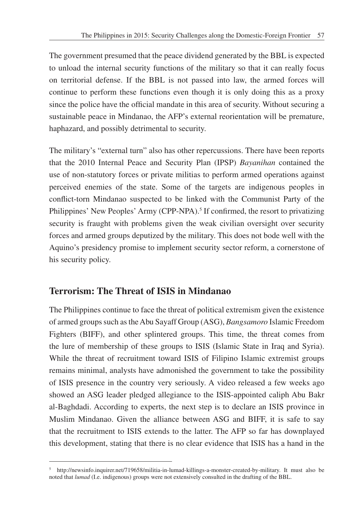The government presumed that the peace dividend generated by the BBL is expected to unload the internal security functions of the military so that it can really focus on territorial defense. If the BBL is not passed into law, the armed forces will continue to perform these functions even though it is only doing this as a proxy since the police have the official mandate in this area of security. Without securing a sustainable peace in Mindanao, the AFP's external reorientation will be premature, haphazard, and possibly detrimental to security.

The military's "external turn" also has other repercussions. There have been reports that the 2010 Internal Peace and Security Plan (IPSP) *Bayanihan* contained the use of non-statutory forces or private militias to perform armed operations against perceived enemies of the state. Some of the targets are indigenous peoples in conflict-torn Mindanao suspected to be linked with the Communist Party of the Philippines' New Peoples' Army (CPP-NPA).<sup>5</sup> If confirmed, the resort to privatizing security is fraught with problems given the weak civilian oversight over security forces and armed groups deputized by the military. This does not bode well with the Aquino's presidency promise to implement security sector reform, a cornerstone of his security policy.

### **Terrorism: The Threat of ISIS in Mindanao**

The Philippines continue to face the threat of political extremism given the existence of armed groups such as the Abu Sayaff Group (ASG), *Bangsamoro* Islamic Freedom Fighters (BIFF), and other splintered groups. This time, the threat comes from the lure of membership of these groups to ISIS (Islamic State in Iraq and Syria). While the threat of recruitment toward ISIS of Filipino Islamic extremist groups remains minimal, analysts have admonished the government to take the possibility of ISIS presence in the country very seriously. A video released a few weeks ago showed an ASG leader pledged allegiance to the ISIS-appointed caliph Abu Bakr al-Baghdadi. According to experts, the next step is to declare an ISIS province in Muslim Mindanao. Given the alliance between ASG and BIFF, it is safe to say that the recruitment to ISIS extends to the latter. The AFP so far has downplayed this development, stating that there is no clear evidence that ISIS has a hand in the

<sup>5</sup> http://newsinfo.inquirer.net/719658/militia-in-lumad-killings-a-monster-created-by-military. It must also be noted that *lumad* (I.e. indigenous) groups were not extensively consulted in the drafting of the BBL.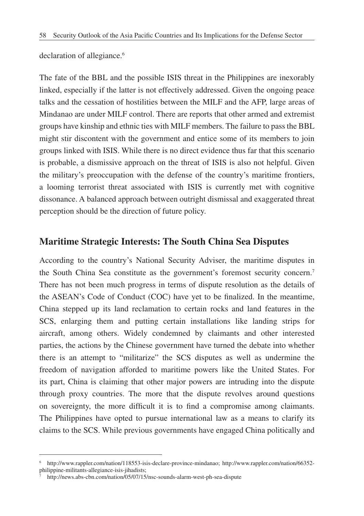declaration of allegiance.<sup>6</sup>

The fate of the BBL and the possible ISIS threat in the Philippines are inexorably linked, especially if the latter is not effectively addressed. Given the ongoing peace talks and the cessation of hostilities between the MILF and the AFP, large areas of Mindanao are under MILF control. There are reports that other armed and extremist groups have kinship and ethnic ties with MILF members. The failure to pass the BBL might stir discontent with the government and entice some of its members to join groups linked with ISIS. While there is no direct evidence thus far that this scenario is probable, a dismissive approach on the threat of ISIS is also not helpful. Given the military's preoccupation with the defense of the country's maritime frontiers, a looming terrorist threat associated with ISIS is currently met with cognitive dissonance. A balanced approach between outright dismissal and exaggerated threat perception should be the direction of future policy.

#### **Maritime Strategic Interests: The South China Sea Disputes**

According to the country's National Security Adviser, the maritime disputes in the South China Sea constitute as the government's foremost security concern.7 There has not been much progress in terms of dispute resolution as the details of the ASEAN's Code of Conduct (COC) have yet to be finalized. In the meantime, China stepped up its land reclamation to certain rocks and land features in the SCS, enlarging them and putting certain installations like landing strips for aircraft, among others. Widely condemned by claimants and other interested parties, the actions by the Chinese government have turned the debate into whether there is an attempt to "militarize" the SCS disputes as well as undermine the freedom of navigation afforded to maritime powers like the United States. For its part, China is claiming that other major powers are intruding into the dispute through proxy countries. The more that the dispute revolves around questions on sovereignty, the more difficult it is to find a compromise among claimants. The Philippines have opted to pursue international law as a means to clarify its claims to the SCS. While previous governments have engaged China politically and

<sup>6</sup> http://www.rappler.com/nation/118553-isis-declare-province-mindanao; http://www.rappler.com/nation/66352 philippine-militants-allegiance-isis-jihadists;

http://news.abs-cbn.com/nation/05/07/15/nsc-sounds-alarm-west-ph-sea-dispute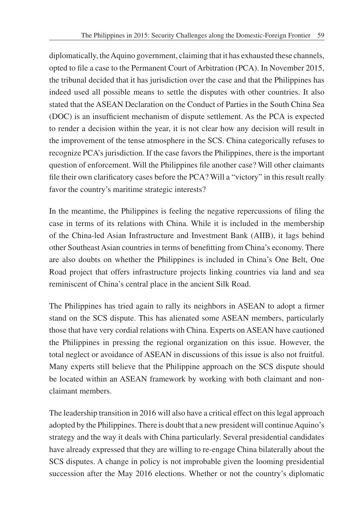diplomatically, the Aquino government, claiming that it has exhausted these channels, opted to file a case to the Permanent Court of Arbitration (PCA). In November 2015, the tribunal decided that it has jurisdiction over the case and that the Philippines has indeed used all possible means to settle the disputes with other countries. It also stated that the ASEAN Declaration on the Conduct of Parties in the South China Sea (DOC) is an insufficient mechanism of dispute settlement. As the PCA is expected to render a decision within the year, it is not clear how any decision will result in the improvement of the tense atmosphere in the SCS. China categorically refuses to recognize PCA's jurisdiction. If the case favors the Philippines, there is the important question of enforcement. Will the Philippines file another case? Will other claimants file their own clarificatory cases before the PCA? Will a "victory" in this result really favor the country's maritime strategic interests?

In the meantime, the Philippines is feeling the negative repercussions of filing the case in terms of its relations with China. While it is included in the membership of the China-led Asian Infrastructure and Investment Bank (AIIB), it lags behind other Southeast Asian countries in terms of benefitting from China's economy. There are also doubts on whether the Philippines is included in China's One Belt, One Road project that offers infrastructure projects linking countries via land and sea reminiscent of China's central place in the ancient Silk Road.

The Philippines has tried again to rally its neighbors in ASEAN to adopt a firmer stand on the SCS dispute. This has alienated some ASEAN members, particularly those that have very cordial relations with China. Experts on ASEAN have cautioned the Philippines in pressing the regional organization on this issue. However, the total neglect or avoidance of ASEAN in discussions of this issue is also not fruitful. Many experts still believe that the Philippine approach on the SCS dispute should be located within an ASEAN framework by working with both claimant and nonclaimant members.

The leadership transition in 2016 will also have a critical effect on this legal approach adopted by the Philippines. There is doubt that a new president will continue Aquino's strategy and the way it deals with China particularly. Several presidential candidates have already expressed that they are willing to re-engage China bilaterally about the SCS disputes. A change in policy is not improbable given the looming presidential succession after the May 2016 elections. Whether or not the country's diplomatic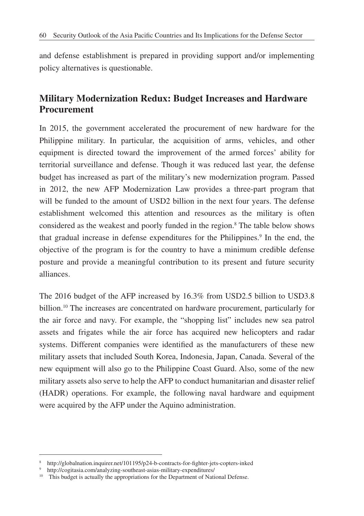and defense establishment is prepared in providing support and/or implementing policy alternatives is questionable.

## **Military Modernization Redux: Budget Increases and Hardware Procurement**

In 2015, the government accelerated the procurement of new hardware for the Philippine military. In particular, the acquisition of arms, vehicles, and other equipment is directed toward the improvement of the armed forces' ability for territorial surveillance and defense. Though it was reduced last year, the defense budget has increased as part of the military's new modernization program. Passed in 2012, the new AFP Modernization Law provides a three-part program that will be funded to the amount of USD2 billion in the next four years. The defense establishment welcomed this attention and resources as the military is often considered as the weakest and poorly funded in the region.8 The table below shows that gradual increase in defense expenditures for the Philippines.<sup>9</sup> In the end, the objective of the program is for the country to have a minimum credible defense posture and provide a meaningful contribution to its present and future security alliances.

The 2016 budget of the AFP increased by 16.3% from USD2.5 billion to USD3.8 billion.10 The increases are concentrated on hardware procurement, particularly for the air force and navy. For example, the "shopping list" includes new sea patrol assets and frigates while the air force has acquired new helicopters and radar systems. Different companies were identified as the manufacturers of these new military assets that included South Korea, Indonesia, Japan, Canada. Several of the new equipment will also go to the Philippine Coast Guard. Also, some of the new military assets also serve to help the AFP to conduct humanitarian and disaster relief (HADR) operations. For example, the following naval hardware and equipment were acquired by the AFP under the Aquino administration.

<sup>8</sup> http://globalnation.inquirer.net/101195/p24-b-contracts-for-fighter-jets-copters-inked

<sup>9</sup> http://cogitasia.com/analyzing-southeast-asias-military-expenditures/

<sup>&</sup>lt;sup>10</sup> This budget is actually the appropriations for the Department of National Defense.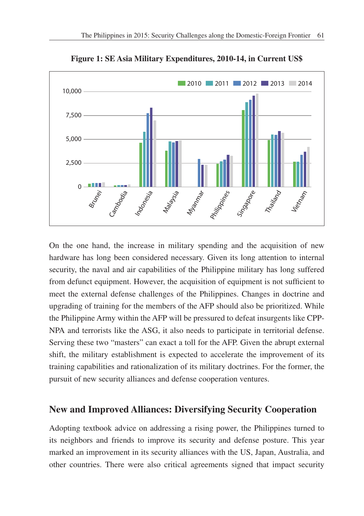

**Figure 1: SE Asia Military Expenditures, 2010-14, in Current US\$**

On the one hand, the increase in military spending and the acquisition of new hardware has long been considered necessary. Given its long attention to internal security, the naval and air capabilities of the Philippine military has long suffered from defunct equipment. However, the acquisition of equipment is not sufficient to meet the external defense challenges of the Philippines. Changes in doctrine and upgrading of training for the members of the AFP should also be prioritized. While the Philippine Army within the AFP will be pressured to defeat insurgents like CPP-NPA and terrorists like the ASG, it also needs to participate in territorial defense. Serving these two "masters" can exact a toll for the AFP. Given the abrupt external shift, the military establishment is expected to accelerate the improvement of its training capabilities and rationalization of its military doctrines. For the former, the pursuit of new security alliances and defense cooperation ventures.

#### **New and Improved Alliances: Diversifying Security Cooperation**

Adopting textbook advice on addressing a rising power, the Philippines turned to its neighbors and friends to improve its security and defense posture. This year marked an improvement in its security alliances with the US, Japan, Australia, and other countries. There were also critical agreements signed that impact security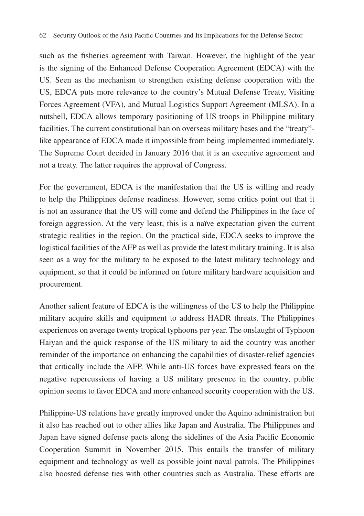such as the fisheries agreement with Taiwan. However, the highlight of the year is the signing of the Enhanced Defense Cooperation Agreement (EDCA) with the US. Seen as the mechanism to strengthen existing defense cooperation with the US, EDCA puts more relevance to the country's Mutual Defense Treaty, Visiting Forces Agreement (VFA), and Mutual Logistics Support Agreement (MLSA). In a nutshell, EDCA allows temporary positioning of US troops in Philippine military facilities. The current constitutional ban on overseas military bases and the "treaty" like appearance of EDCA made it impossible from being implemented immediately. The Supreme Court decided in January 2016 that it is an executive agreement and not a treaty. The latter requires the approval of Congress.

For the government, EDCA is the manifestation that the US is willing and ready to help the Philippines defense readiness. However, some critics point out that it is not an assurance that the US will come and defend the Philippines in the face of foreign aggression. At the very least, this is a naïve expectation given the current strategic realities in the region. On the practical side, EDCA seeks to improve the logistical facilities of the AFP as well as provide the latest military training. It is also seen as a way for the military to be exposed to the latest military technology and equipment, so that it could be informed on future military hardware acquisition and procurement.

Another salient feature of EDCA is the willingness of the US to help the Philippine military acquire skills and equipment to address HADR threats. The Philippines experiences on average twenty tropical typhoons per year. The onslaught of Typhoon Haiyan and the quick response of the US military to aid the country was another reminder of the importance on enhancing the capabilities of disaster-relief agencies that critically include the AFP. While anti-US forces have expressed fears on the negative repercussions of having a US military presence in the country, public opinion seems to favor EDCA and more enhanced security cooperation with the US.

Philippine-US relations have greatly improved under the Aquino administration but it also has reached out to other allies like Japan and Australia. The Philippines and Japan have signed defense pacts along the sidelines of the Asia Pacific Economic Cooperation Summit in November 2015. This entails the transfer of military equipment and technology as well as possible joint naval patrols. The Philippines also boosted defense ties with other countries such as Australia. These efforts are